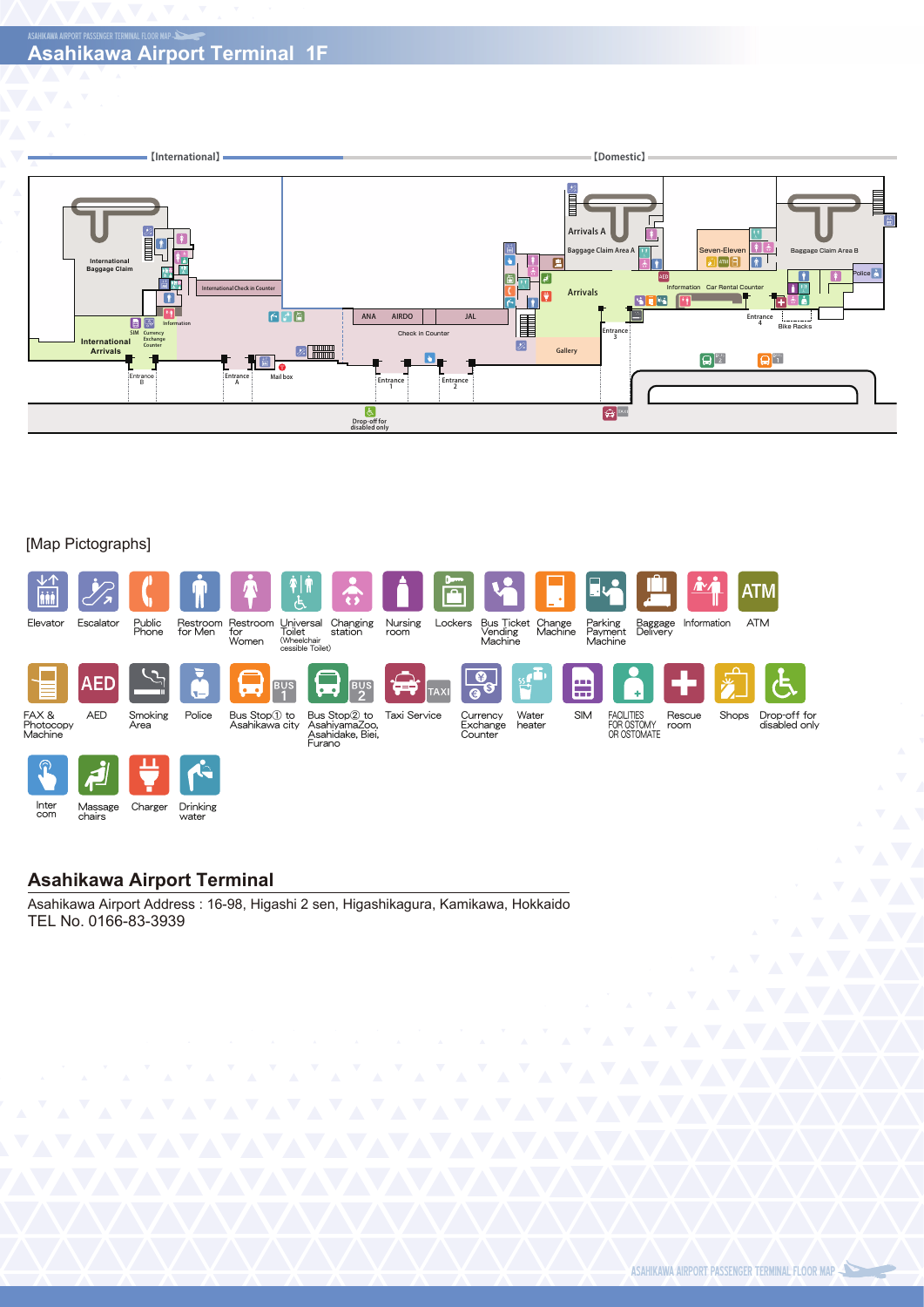

#### [Map Pictographs]



Inter com Massage chairs Drinking Charger Drinking

### **Asahikawa Airport Terminal**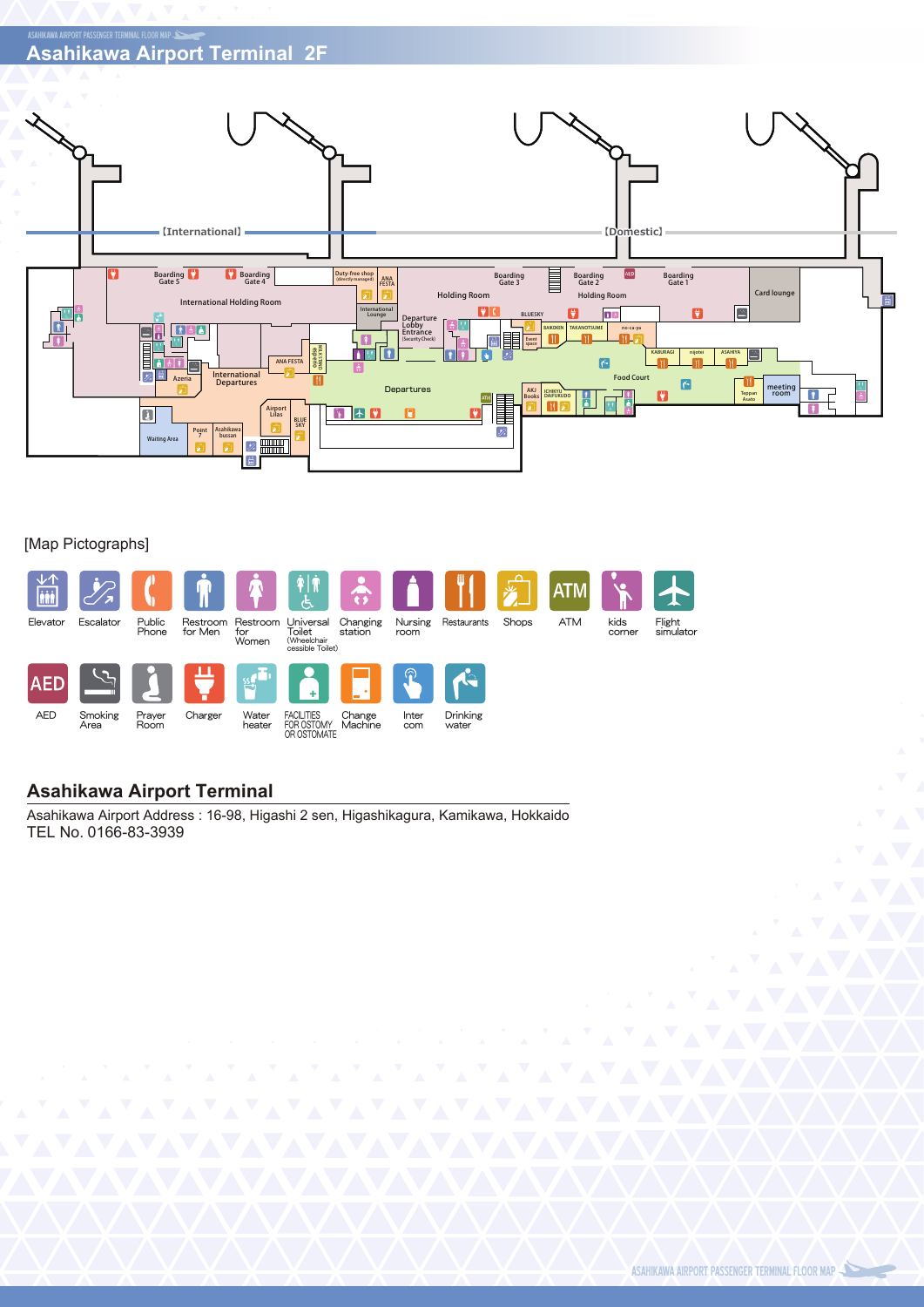# **Asahikawa Airport Terminal 2F**



#### [Map Pictographs]



## **Asahikawa Airport Terminal**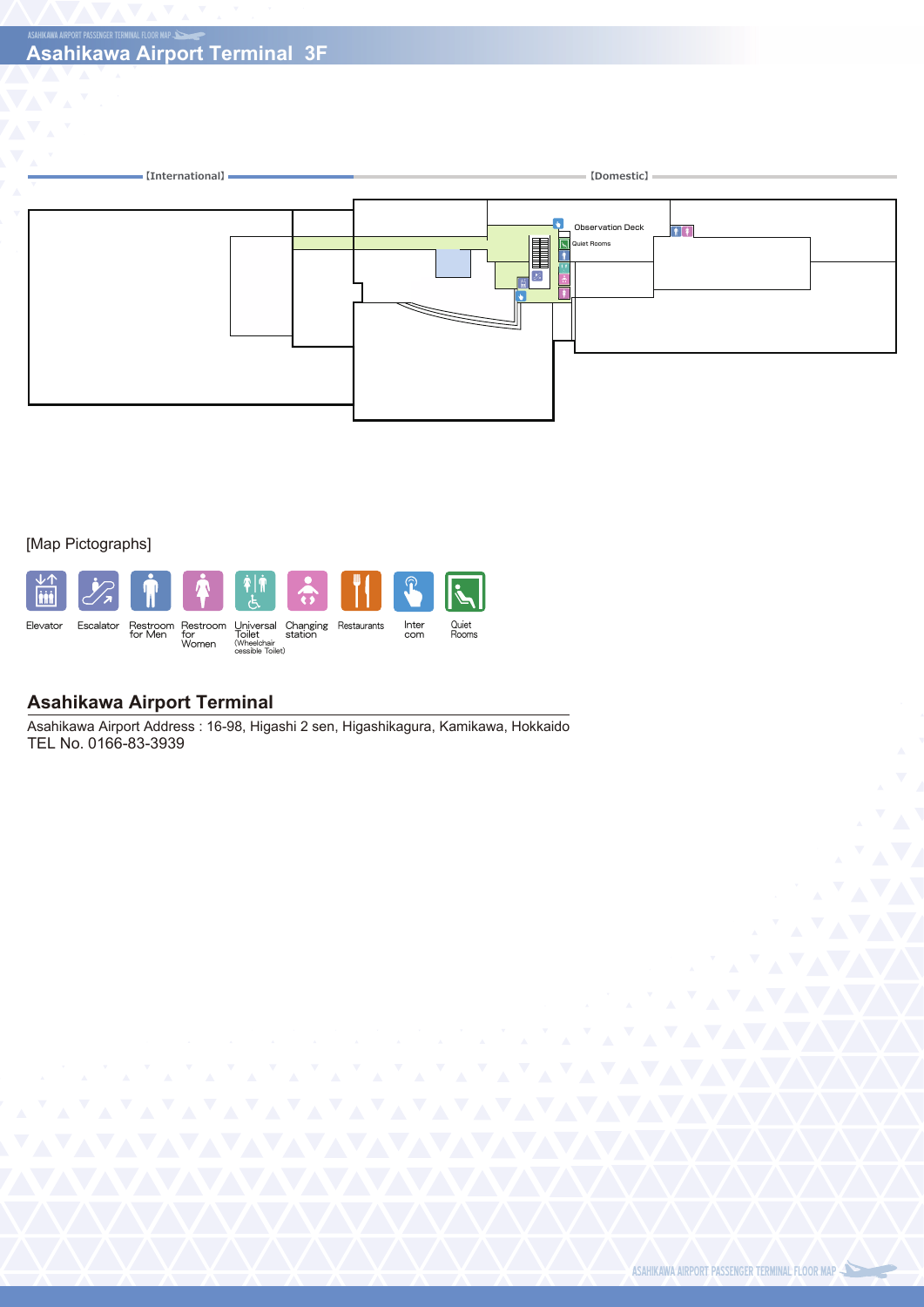

#### [Map Pictographs]



### **Asahikawa Airport Terminal**